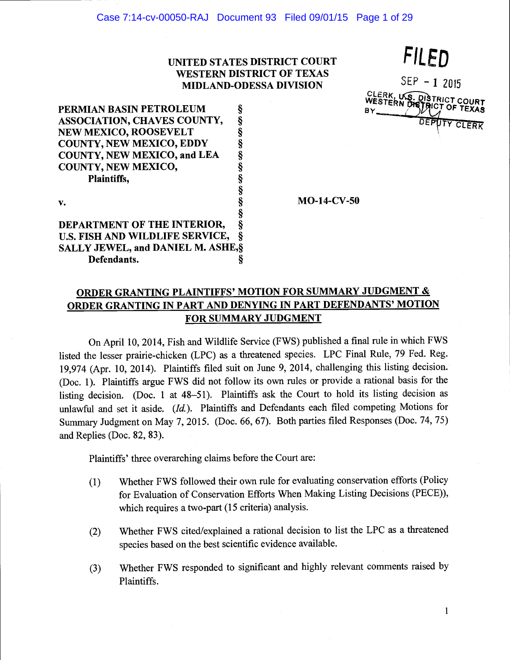## UNITED STATES DISTRICT COURT WESTERN DISTRICT OF TEXAS MIDLAND-ODESSA DIVISION

FILED  $SEP - 12015$ CLERK, U.S. DISTRICT COURT BY IMPOT OF TEXAS DEPUTY CLERK

PERMIAN BASIN PETROLEUM §<br>ASSOCIATION, CHAVES COUNTY, § ASSOCIATION, CHAVES COUNTY, §<br>NEW MEXICO, ROOSEVELT § NEW MEXICO, ROOSEVELT COUNTY, NEW MEXICO, EDDY COUNTY, NEW MEXICO, and LEA COUNTY, NEW MEXICO, Plaintiffs, § v. § § DEPARTMENT OF THE INTERIOR, §<br>U.S. FISH AND WILDLIFE SERVICE, § U.S. FISH AND WILDLIFE SERVICE,

SALLY JEWEL, and DANIEL M. ASHE,

Defendants. §

 $MO-14-CV-50$ 

# ORDER GRANTING PLAINTIFFS' MOTION FOR SUMMARY JUDGMENT & ORDER GRANTING IN PART AND DENYING IN PART DEFENDANTS' MOTION FOR SUMMARY JUDGMENT

On April 10, 2014, Fish and Wildlife Service (FWS) published a final rule in which FWS listed the lesser prairie-chicken (LPC) as a threatened species. LPC Final Rule, 79 Fed. Reg. 19,974 (Apr. 10, 2014). Plaintiffs filed suit on June 9, 2014, challenging this listing decision. (Doc. 1). Plaintiffs argue FWS did not follow its own rules or provide a rational basis for the listing decision. (Doc. 1 at 48-51). Plaintiffs ask the Court to hold its listing decision as unlawful and set it aside. (Id.). Plaintiffs and Defendants each filed competing Motions for Summary Judgment on May 7, 2015. (Doc. 66, 67). Both parties filed Responses (Doe. 74, 75) and Replies (Doe. 82, 83).

Plaintiffs' three overarching claims before the Court are:

- (1) Whether FWS followed their own rule for evaluating conservation efforts (Policy for Evaluation of Conservation Efforts When Making Listing Decisions (PECE)), which requires a two-part (15 criteria) analysis.
- (2) Whether FWS cited/explained a rational decision to list the LPC as a threatened species based on the best scientific evidence available.
- (3) Whether FWS responded to significant and highly relevant comments raised by Plaintiffs.

 $\mathbf{1}$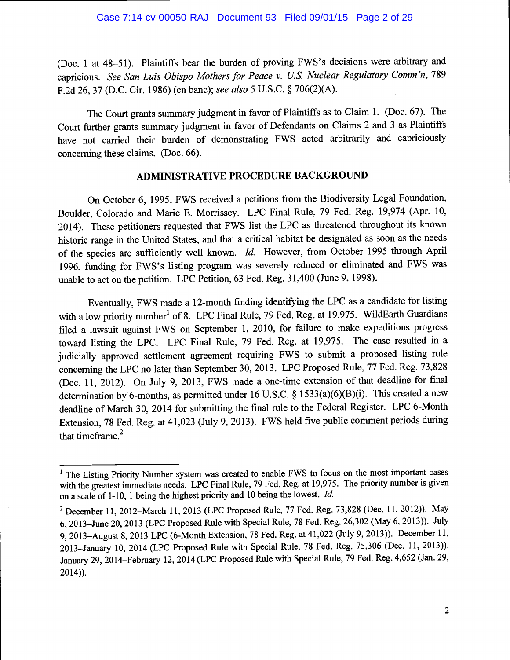(Doc. 1 at 48-51). Plaintiffs bear the burden of proving FWS's decisions were arbitrary and capricious. See San Luis Obispo Mothers for Peace v. US. Nuclear Regulatory Comm 'n, 789 F.2d 26, 37 (D.C. Cir. 1986) (en banc); see also 5 U.S.C. § 706(2)(A).

The Court grants summary judgment in favor of Plaintiffs as to Claim 1. (Doc. 67). The Court further grants summary judgment in favor of Defendants on Claims 2 and 3 as Plaintiffs have not carried their burden of demonstrating FWS acted arbitrarily and capriciously concerning these claims. (Doe. 66).

## ADMINISTRATIVE PROCEDURE BACKGROUND

On October 6, 1995, FWS received a petitions from the Biodiversity Legal Foundation, Boulder, Colorado and Marie B. Morrissey. LPC Final Rule, 79 Fed. Reg. 19,974 (Apr. 10, 2014). These petitioners requested that FWS list the LPC as threatened throughout its known historic range in the United States, and that a critical habitat be designated as soon as the needs of the species are sufficiently well known. Id. However, from October 1995 through April 1996, funding for FWS's listing program was severely reduced or eliminated and FWS was unable to act on the petition. LPC Petition, 63 Fed. Reg. 31,400 (June 9, 1998).

Eventually, FWS made a 12-month finding identifying the LPC as a candidate for listing with a low priority number<sup>1</sup> of 8. LPC Final Rule, 79 Fed. Reg. at 19,975. WildEarth Guardians filed a lawsuit against FWS on September 1, 2010, for failure to make expeditious progress toward listing the LPC. LPC Final Rule, 79 Fed. Reg. at 19,975. The case resulted in a judicially approved settlement agreement requiring FWS to submit a proposed listing rule concerning the LPC no later than September 30, 2013. LPC Proposed Rule, 77 Fed. Reg. 73,828 (Dec. 11, 2012). On July 9, 2013, FWS made a one-time extension of that deadline for final determination by 6-months, as permitted under 16 U.S.C. § 1533(a)(6)(B)(i). This created a new deadline of March 30, 2014 for submitting the final rule to the Federal Register. LPC 6-Month Extension, 78 Fed. Reg. at 41,023 (July 9, 2013). FWS held five public comment periods during that timeframe. $2$ 

<sup>&</sup>lt;sup>1</sup> The Listing Priority Number system was created to enable FWS to focus on the most important cases with the greatest immediate needs. LPC Final Rule, 79 Fed. Reg. at 19,975. The priority number is given on a scale of 1-10, 1 being the highest priority and 10 being the lowest. Id.

<sup>&</sup>lt;sup>2</sup> December 11, 2012–March 11, 2013 (LPC Proposed Rule, 77 Fed. Reg. 73,828 (Dec. 11, 2012)). May 6, 2013-June 20, 2013 (LPC Proposed Rule with Special Rule, 78 Fed. Reg. 26,302 (May 6, 2013)). July 9, 2013-August 8, 2013 LPC (6-Month Extension, 78 Fed. Reg. at 41,022 (July 9, 2013)). December 11, 2013-January 10, 2014 (LPC Proposed Rule with Special Rule, 78 Fed. Reg. 75,306 (Dec. 11, 2013)). January 29, 2014-February 12, 2014 (LPC Proposed Rule with Special Rule, 79 Fed. Reg. 4,652 (Jan. 29, 2014)).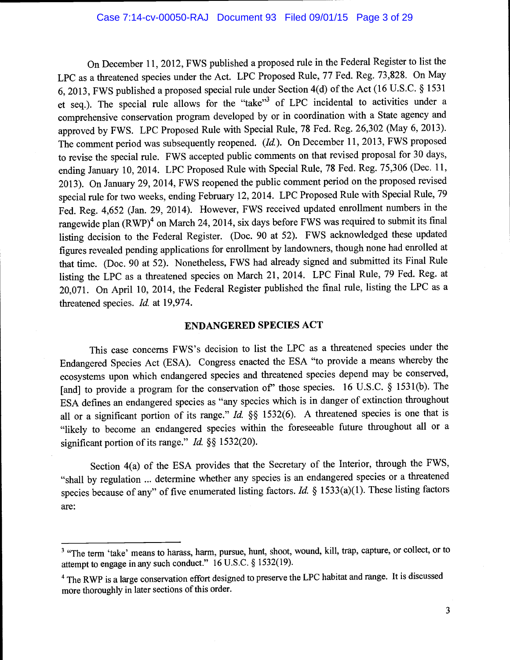On December 11, 2012, FWS published a proposed rule in the Federal Register to list the LPC as a threatened species under the Act. LPC Proposed Rule, 77 Fed. Reg. 73,828. On May 6, 2013, FWS published a proposed special rule under Section 4(d) of the Act (16 U.S.C. § <sup>1531</sup> et seq.). The special rule allows for the "take"3 of LPC incidental to activities under a comprehensive conservation program developed by or in coordination with a State agency and approved by FWS. LPC Proposed Rule with Special Rule, 78 Fed. Reg. 26,302 (May 6, 2013). The comment period was subsequently reopened.  $(Id)$ . On December 11, 2013, FWS proposed to revise the special rule. FWS accepted public comments on that revised proposal for 30 days, ending January 10, 2014. LPC Proposed Rule with Special Rule, 78 Fed. Reg. 75,306 (Dec. 11, 2013). On January 29, 2014, FWS reopened the public comment period on the proposed revised special rule for two weeks, ending February 12, 2014. LPC Proposed Rule with Special Rule, <sup>79</sup> Fed. Reg. 4,652 (Jan. 29, 2014). However, FWS received updated enrollment numbers in the rangewide plan (RWP)<sup>4</sup> on March 24, 2014, six days before FWS was required to submit its final listing decision to the Federal Register. (Doc. 90 at 52). FWS acknowledged these updated figures revealed pending applications for enrollment by landowners, though none had enrolled at that time. (Doc. 90 at 52). Nonetheless, FWS had already signed and submitted its Final Rule listing the LPC as a threatened species on March 21, 2014. LPC Final Rule, 79 Fed. Reg. at 20,071. On April 10, 2014, the Federal Register published the final rule, listing the LPC as a threatened species. Id. at 19,974.

### ENDANGERED SPECIES ACT

This case concerns FWS's decision to list the LPC as a threatened species under the Endangered Species Act (ESA). Congress enacted the ESA "to provide a means whereby the ecosystems upon which endangered species and threatened species depend may be conserved, [and] to provide a program for the conservation of" those species. 16 U.S.C. § 1531(b). The ESA defines an endangered species as "any species which is in danger of extinction throughout all or a significant portion of its range." Id.  $\S$  1532(6). A threatened species is one that is "likely to become an endangered species within the foreseeable future throughout all or a significant portion of its range." Id.  $\S$ § 1532(20).

Section 4(a) of the ESA provides that the Secretary of the Interior, through the FWS, "shall by regulation ... determine whether any species is an endangered species or a threatened species because of any" of five enumerated listing factors. Id.  $\S$  1533(a)(1). These listing factors are:

<sup>&</sup>lt;sup>3</sup> "The term 'take' means to harass, harm, pursue, hunt, shoot, wound, kill, trap, capture, or collect, or to attempt to engage in any such conduct." 16 U.S.C. § 1532(19).

<sup>&</sup>lt;sup>4</sup> The RWP is a large conservation effort designed to preserve the LPC habitat and range. It is discussed more thoroughly in later sections of this order.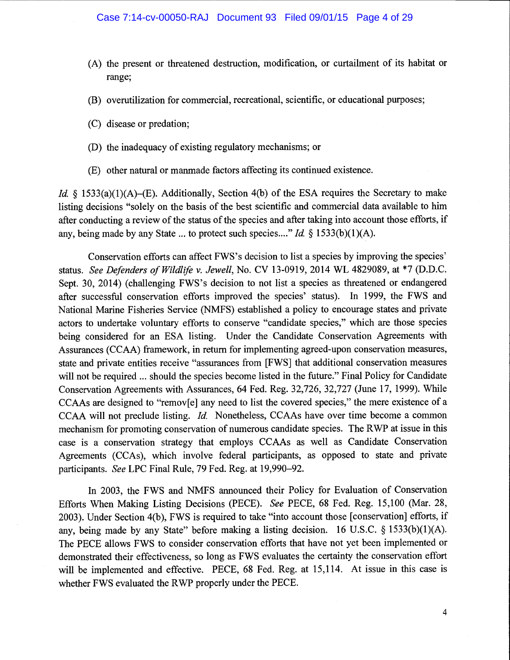- (A) the present or threatened destruction, modification, or curtailment of its habitat or range;
- (B) overutilization for commercial, recreational, scientific, or educational purposes;
- (C) disease or predation;
- (D) the inadequacy of existing regulatory mechanisms; or
- (E) other natural or manmade factors affecting its continued existence.

*Id.* § 1533(a)(1)(A)–(E). Additionally, Section 4(b) of the ESA requires the Secretary to make listing decisions "solely on the basis of the best scientific and commercial data available to him after conducting a review of the status of the species and after taking into account those efforts, if any, being made by any State ... to protect such species...." Id.  $\S$  1533(b)(1)(A).

Conservation efforts can affect FWS's decision to list a species by improving the species' status. See Defenders of Wildlife v. Jewell, No. CV 13-0919, 2014 WL 4829089, at \*7 (D.D.C. Sept. 30, 2014) (challenging FWS's decision to not list a species as threatened or endangered after successful conservation efforts improved the species' status). In 1999, the FWS and National Marine Fisheries Service (NMFS) established a policy to encourage states and private actors to undertake voluntary efforts to conserve "candidate species," which are those species being considered for an ESA listing. Under the Candidate Conservation Agreements with Assurances (CCAA) framework, in return for implementing agreed-upon conservation measures, state and private entities receive "assurances from {FWS] that additional conservation measures will not be required ... should the species become listed in the future." Final Policy for Candidate Conservation Agreements with Assurances, 64 Fed. Reg. 32,726, 32,727 (June 17, 1999). While CCAAs are designed to "remov[e} any need to list the covered species," the mere existence of a CCAA will not preclude listing. Id. Nonetheless, CCAAs have over time become a common mechanism for promoting conservation of numerous candidate species. The RWP at issue in this case is a conservation strategy that employs CCAAs as well as Candidate Conservation Agreements (CCA5), which involve federal participants, as opposed to state and private participants. See LPC Final Rule, 79 Fed. Reg. at 19,990-92.

In 2003, the FWS and NMFS announced their Policy for Evaluation of Conservation Efforts When Making Listing Decisions (PECE). See PECE, 68 Fed. Reg. 15,100 (Mar. 28, 2003). Under Section 4(b), FWS is required to take "into account those [conservation] efforts, if any, being made by any State" before making a listing decision. 16 U.S.C. § 1533(b)(1)(A). The PECE allows FWS to consider conservation efforts that have not yet been implemented or demonstrated their effectiveness, so long as FWS evaluates the certainty the conservation effort will be implemented and effective. PECE, 68 Fed. Reg. at 15,114. At issue in this case is whether FWS evaluated the RWP properly under the PECE.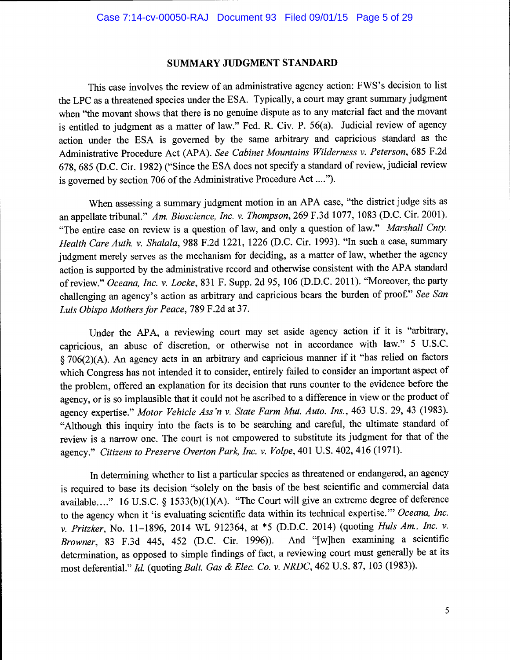#### SUMMARY JUDGMENT STANDARD

This case involves the review of an administrative agency action: FWS's decision to list the LPC as a threatened species under the ESA. Typically, a court may grant summary judgment when "the movant shows that there is no genuine dispute as to any material fact and the movant is entitled to judgment as a matter of law." Fed. R. Civ. P. 56(a). Judicial review of agency action under the ESA is governed by the same arbitrary and capricious standard as the Administrative Procedure Act (APA). See Cabinet Mountains Wilderness v. Peterson, 685 F.2d 678, 685 (D.C. Cir. 1982) ("Since the ESA does not specify a standard of review, judicial review is governed by section 706 of the Administrative Procedure Act ....").

When assessing a summary judgment motion in an APA case, "the district judge sits as an appellate tribunal." Am. Bioscience, Inc. v. Thompson, 269 F.3d 1077, 1083 (D.C. Cir. 2001). "The entire case on review is a question of law, and only a question of law." Marshall Cnty. Health Care Auth. v. Shalala, 988 F.2d 1221, 1226 (D.C. Cir. 1993). "In such a case, summary judgment merely serves as the mechanism for deciding, as a matter of law, whether the agency action is supported by the administrative record and otherwise consistent with the APA standard of review." Oceana, Inc. v. Locke, 831 F. Supp. 2d 95, 106 (D.D.C. 2011). "Moreover, the party challenging an agency's action as arbitrary and capricious bears the burden of proof." See San Luis Obispo Mothers for Peace, 789 F.2d at 37.

Under the APA, a reviewing court may set aside agency action if it is "arbitrary, capricious, an abuse of discretion, or otherwise not in accordance with law." 5 U.S.C. § 706(2)(A). An agency acts in an arbitrary and capricious manner if it "has relied on factors which Congress has not intended it to consider, entirely failed to consider an important aspect of the problem, offered an explanation for its decision that runs counter to the evidence before the agency, or is so implausible that it could not be ascribed to a difference in view or the product of agency expertise." Motor Vehicle Ass 'n v. State Farm Mut. Auto. Ins., 463 U.S. 29, 43 (1983). "Although this inquiry into the facts is to be searching and careful, the ultimate standard of review is a narrow one. The court is not empowered to substitute its judgment for that of the agency." Citizens to Preserve Overton Park, Inc. v. Volpe, 401 U.S. 402, 416 (1971).

In determining whether to list a particular species as threatened or endangered, an agency is required to base its decision "solely on the basis of the best scientific and commercial data available...." 16 U.S.C. § 1533(b)(1)(A). "The Court will give an extreme degree of deference to the agency when it 'is evaluating scientific data within its technical expertise." Oceana, Inc. v. Pritzker, No. 11–1896, 2014 WL 912364, at \*5 (D.D.C. 2014) (quoting *Huls Am., Inc. v.* Browner, 83 F.3d 445, 452 (D.C. Cir. 1996)). And "fwlhen examining a scientific Browner, 83 F.3d 445, 452 (D.C. Cir. 1996)). determination, as opposed to simple findings of fact, a reviewing court must generally be at its most deferential." Id. (quoting Balt. Gas & Elec. Co. v. NRDC, 462 U.S. 87, 103 (1983)).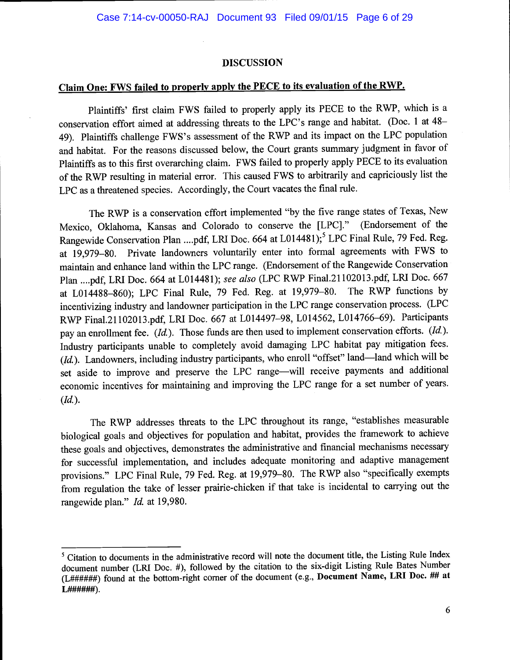#### DISCUSSION

# Claim One: FWS failed to properly apply the PECE to its evaluation of the RWP.

Plaintiffs' first claim FWS failed to properly apply its PECE to the RWP, which is a conservation effort aimed at addressing threats to the LPC's range and habitat. (Doc. 1 at 48- 49). Plaintiffs challenge FWS's assessment of the RWP and its impact on the LPC population and habitat. For the reasons discussed below, the Court grants summary judgment in favor of Plaintiffs as to this first overarching claim. FWS failed to properly apply PECE to its evaluation of the RWP resulting in material error. This caused FWS to arbitrarily and capriciously list the LPC as a threatened species. Accordingly, the Court vacates the final rule.

The RWP is a conservation effort implemented "by the five range states of Texas, New Mexico, Oklahoma, Kansas and Colorado to conserve the [LPC}." (Endorsement of the Rangewide Conservation Plan ....pdf, LRI Doc. 664 at L014481);<sup>5</sup> LPC Final Rule, 79 Fed. Reg. at 19,979-80. Private landowners voluntarily enter into formal agreements with FWS to maintain and enhance land within the LPC range. (Endorsement of the Rangewide Conservation Plan ....pdf, LRI Doe. 664 at L014481); see also (LPC RWP Final.21 102013.pdf, LRI Doe. 667 at L014488-860); LPC Final Rule, 79 Fed. Reg. at 19,979-80. The RWP functions by incentivizing industry and landowner participation in the LPC range conservation process. (LPC RWP Final.21102013.pdf, LPJ Doe. 667 at L014497-98, L014562, L014766-69). Participants pay an enrollment fee. (Id.). Those funds are then used to implement conservation efforts. (Id.). Industry participants unable to completely avoid damaging LPC habitat pay mitigation fees.  $(Id.)$ . Landowners, including industry participants, who enroll "offset" land—land which will be set aside to improve and preserve the LPC range-will receive payments and additional economic incentives for maintaining and improving the LPC range for a set number of years.  $(Id.).$ 

The RWP addresses threats to the LPC throughout its range, "establishes measurable biological goals and objectives for population and habitat, provides the framework to achieve these goals and objectives, demonstrates the administrative and financial mechanisms necessary for successful implementation, and includes adequate monitoring and adaptive management provisions." LPC Final Rule, 79 Fed. Reg. at 19,979-80. The RWP also "specifically exempts from regulation the take of lesser prairie-chicken if that take is incidental to carrying out the rangewide plan." Id. at 19,980.

<sup>&</sup>lt;sup>5</sup> Citation to documents in the administrative record will note the document title, the Listing Rule Index document number (LRI Doc. #), followed by the citation to the six-digit Listing Rule Bates Number (L##ft#4#) found at the bottom-right corner of the document (e.g., Document Name, LRI Doc. ## at L######).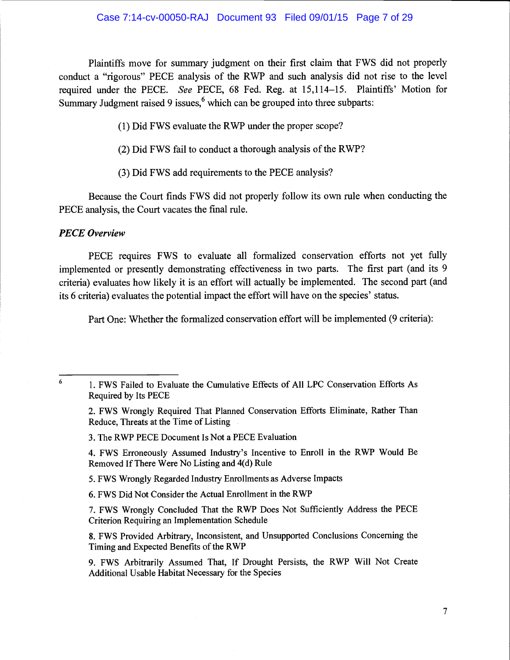### Case 7:14-cv-00050-RAJ Document 93 Filed 09/01/15 Page 7 of 29

Plaintiffs move for summary judgment on their first claim that FWS did not properly conduct a "rigorous" PECE analysis of the RWP and such analysis did not rise to the level required under the PECE. See PECE, 68 Fed. Reg. at 15,114-15. Plaintiffs' Motion for Summary Judgment raised 9 issues, $6$  which can be grouped into three subparts:

(1) Did FWS evaluate the RWP under the proper scope?

(2) Did FWS fail to conduct a thorough analysis of the RWP?

(3) Did FWS add requirements to the PECE analysis?

Because the Court finds FWS did not properly follow its own rule when conducting the PECE analysis, the Court vacates the final rule.

#### PECE Overview

PECE requires FWS to evaluate all formalized conservation efforts not yet fully implemented or presently demonstrating effectiveness in two parts. The first part (and its 9 criteria) evaluates how likely it is an effort will actually be implemented. The second part (and its 6 criteria) evaluates the potential impact the effort will have on the species' status.

Part One: Whether the formalized conservation effort will be implemented (9 criteria):

3. The RWP PECE Document Is Not a PECE Evaluation

4. FWS Erroneously Assumed Industry's Incentive to Enroll in the RWP Would Be Removed If There Were No Listing and 4(d) Rule

5. FWS Wrongly Regarded Industry Enrollments as Adverse hnpacts

6. FWS Did Not Consider the Actual Enrollment in the RWP

7. FWS Wrongly Concluded That the RWP Does Not Sufficiently Address the PECE Criterion Requiring an Implementation Schedule

8. FWS Provided Arbitrary, Inconsistent, and Unsupported Conclusions Concerning the Timing and Expected Benefits of the RWP

9. FWS Arbitrarily Assumed That, If Drought Persists, the RWP Will Not Create Additional Usable Habitat Necessary for the Species

<sup>&</sup>lt;sup>6</sup> 1. FWS Failed to Evaluate the Cumulative Effects of All LPC Conservation Efforts As Required by Its PECE

<sup>2.</sup> FWS Wrongly Required That Planned Conservation Efforts Eliminate, Rather Than Reduce, Threats at the Time of Listing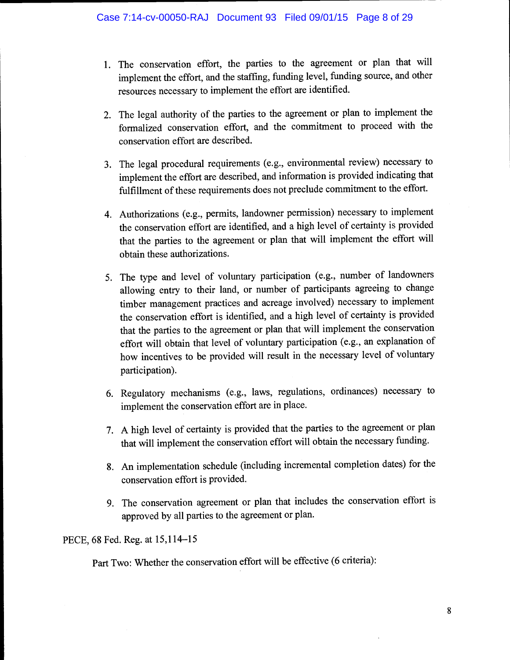- 1. The conservation effort, the parties to the agreement or plan that will implement the effort, and the staffing, funding level, funding source, and other resources necessary to implement the effort are identified.
- 2. The legal authority of the parties to the agreement or plan to implement the formalized conservation effort, and the commitment to proceed with the conservation effort are described.
- 3. The legal procedural requirements (e.g., environmental review) necessary to implement the effort are described, and information is provided indicating that fulfillment of these requirements does not preclude commitment to the effort.
- 4. Authorizations (e.g., permits, landowner permission) necessary to implement the conservation effort are identified, and a high level of certainty is provided that the parties to the agreement or plan that will implement the effort will obtain these authorizations.
- 5. The type and level of voluntary participation (e.g., number of landowners allowing entry to their land, or number of participants agreeing to change timber management practices and acreage involved) necessary to implement the conservation effort is identified, and a high level of certainty is provided that the parties to the agreement or plan that will implement the conservation effort will obtain that level of voluntary participation (e.g., an explanation of how incentives to be provided will result in the necessary level of voluntary participation).
- 6. Regulatory mechanisms (e.g., laws, regulations, ordinances) necessary to implement the conservation effort are in place.
- 7. A high level of certainty is provided that the parties to the agreement or plan that will implement the conservation effort will obtain the necessary funding.
- 8. An implementation schedule (including incremental completion dates) for the conservation effort is provided.
- 9. The conservation agreement or plan that includes the conservation effort is approved by all parties to the agreement or plan.

PECE, 68 Fed. Reg. at 15,114-15

Part Two: Whether the conservation effort will be effective (6 criteria):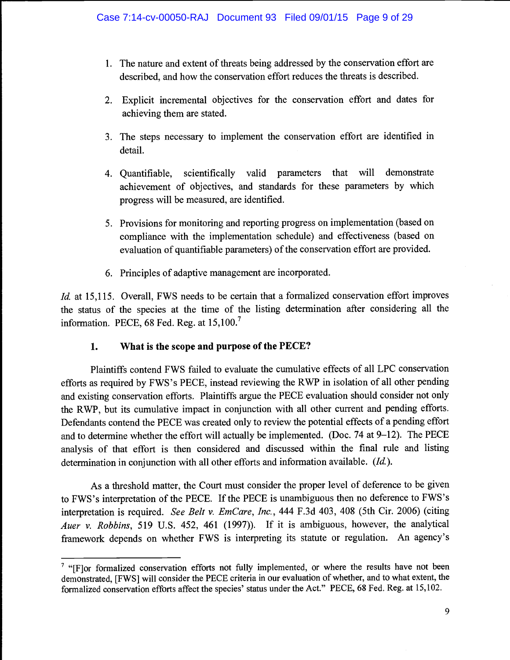- 1. The nature and extent of threats being addressed by the conservation effort are described, and how the conservation effort reduces the threats is described.
- 2. Explicit incremental objectives for the conservation effort and dates for achieving them are stated.
- 3. The steps necessary to implement the conservation effort are identified in detail.
- 4. Quantifiable, scientifically valid parameters that will demonstrate achievement of objectives, and standards for these parameters by which progress will be measured, are identified.
- 5. Provisions for monitoring and reporting progress on implementation (based on compliance with the implementation schedule) and effectiveness (based on evaluation of quantifiable parameters) of the conservation effort are provided.
- 6. Principles of adaptive management are incorporated.

Id. at 15,115. Overall, FWS needs to be certain that a formalized conservation effort improves the status of the species at the time of the listing determination after considering all the information. PECE, 68 Fed. Reg. at  $15,100$ .

## 1. What is the scope and purpose of the PECE?

Plaintiffs contend FWS failed to evaluate the cumulative effects of all LPC conservation efforts as required by FWS's PECE, instead reviewing the RWP in isolation of all other pending and existing conservation efforts. Plaintiffs argue the PECE evaluation should consider not only the RWP, but its cumulative impact in conjunction with all other current and pending efforts. Defendants contend the PECE was created only to review the potential effects of a pending effort and to determine whether the effort will actually be implemented. (Doc. 74 at 9-12). The PECE analysis of that effort is then considered and discussed within the final rule and listing determination in conjunction with all other efforts and information available. (Id.).

As a threshold matter, the Court must consider the proper level of deference to be given to FWS's interpretation of the PECE. If the PECE is unambiguous then no deference to FWS's interpretation is required. See Belt v. EmCare, Inc., 444 F.3d 403, 408 (5th Cir. 2006) (citing Auer v. Robbins, 519 U.S. 452, 461 (1997)). If it is ambiguous, however, the analytical framework depends on whether FWS is interpreting its statute or regulation. An agency's

 $\frac{7}{7}$  "[F]or formalized conservation efforts not fully implemented, or where the results have not been demonstrated, [FWS] will consider the PECE criteria in our evaluation of whether, and to what extent, the formalized conservation efforts affect the species' status under the Act." PECE, 68 Fed. Reg. at 15,102.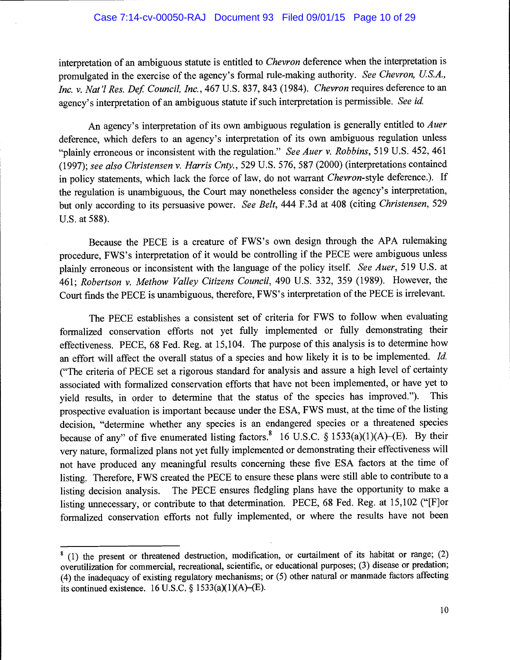interpretation of an ambiguous statute is entitled to Chevron deference when the interpretation is promulgated in the exercise of the agency's formal rule-making authority. See Chevron, U.S.A., Inc. v. Nat'l Res. Def. Council, Inc., 467 U.S. 837, 843 (1984). Chevron requires deference to an agency's interpretation of an ambiguous statute if such interpretation is permissible. See id.

An agency's interpretation of its own ambiguous regulation is generally entitled to Auer deference, which defers to an agency's interpretation of its own ambiguous regulation unless "plainly erroneous or inconsistent with the regulation." See Auer v. Robbins, 519 U.S. 452, 461 (1997); see also Christensen v. Harris Cnty., 529 U.S. 576, 587 (2000) (interpretations contained in policy statements, which lack the force of law, do not warrant Chevron-style deference.). If the regulation is unambiguous, the Court may nonetheless consider the agency's interpretation, but only according to its persuasive power. See Belt, 444 F.3d at 408 (citing Christensen, 529 U.S. at 588).

Because the PECE is a creature of FWS's own design through the APA rulemaking procedure, FWS's interpretation of it would be controlling if the PECE were ambiguous unless plainly erroneous or inconsistent with the language of the policy itself. See Auer, 519 U.S. at 461; Robertson v. Methow Valley Citizens Council, 490 U.S. 332, 359 (1989). However, the Court finds the PECE is unambiguous, therefore, FWS's interpretation of the PECE is irrelevant.

The PECE establishes a consistent set of criteria for FWS to follow when evaluating formalized conservation efforts not yet fully implemented or fully demonstrating their effectiveness. PECE, 68 Fed. Reg. at 15,104. The purpose of this analysis is to determine how an effort will affect the overall status of a species and how likely it is to be implemented. Id. ("The criteria of PECE set a rigorous standard for analysis and assure a high level of certainty associated with formalized conservation efforts that have not been implemented, or have yet to yield results, in order to determine that the status of the species has improved."). This prospective evaluation is important because under the ESA, FWS must, at the time of the listing decision, "determine whether any species is an endangered species or a threatened species because of any" of five enumerated listing factors.<sup>8</sup> 16 U.S.C. § 1533(a)(1)(A)–(E). By their very nature, formalized plans not yet fully implemented or demonstrating their effectiveness will not have produced any meaningful results concerning these five ESA factors at the time of listing. Therefore, FWS created the PECE to ensure these plans were still able to contribute to a listing decision analysis. The PECE ensures fledgling plans have the opportunity to make a listing unnecessary, or contribute to that determination. PECE, 68 Fed. Reg. at 15,102 ("[F]or formalized conservation efforts not fully implemented, or where the results have not been

 $<sup>8</sup>$  (1) the present or threatened destruction, modification, or curtailment of its habitat or range; (2)</sup> overutilization for commercial, recreational, scientific, or educational purposes; (3) disease or predation; (4) the inadequacy of existing regulatory mechanisms; or (5) other natural or manmade factors affecting its continued existence. 16 U.S.C. § 1533(a)(1)(A)–(E).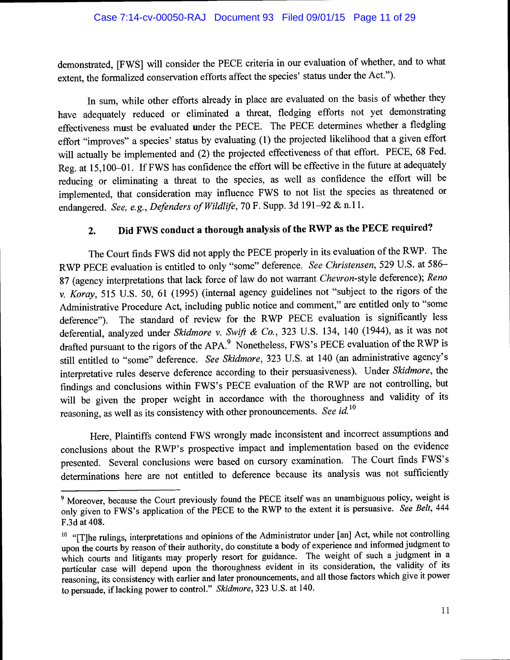demonstrated, [FWS} will consider the PECE criteria in our evaluation of whether, and to what extent, the formalized conservation efforts affect the species' status under the Act.").

In sum, while other efforts already in place are evaluated on the basis of whether they have adequately reduced or eliminated a threat, fledging efforts not yet demonstrating effectiveness must be evaluated under the PECE. The PECE determines whether a fledgling effort "improves" a species' status by evaluating (1) the projected likelihood that a given effort will actually be implemented and (2) the projected effectiveness of that effort. PECE, 68 Fed. Reg. at 15,100-01. If FWS has confidence the effort will be effective in the future at adequately reducing or eliminating a threat to the species, as well as confidence the effort will be implemented, that consideration may influence FWS to not list the species as threatened or endangered. See, e.g., Defenders of Wildlife, 70 F. Supp. 3d 191-92 & n.11.

# 2. Did FWS conduct a thorough analysis of the RWP as the PECE required?

The Court finds FWS did not apply the PECE properly in its evaluation of the RWP. The RWP PECE evaluation is entitled to only "some" deference. See Christensen, 529 U.S. at 586- 87 (agency interpretations that lack force of law do not warrant Chevron-style deference); Reno v. Koray, 515 U.S. 50, 61(1995) (internal agency guidelines not "subject to the rigors of the Administrative Procedure Act, including public notice and comment," are entitled only to "some deference"). The standard of review for the RWP PECE evaluation is significantly less deferential, analyzed under Skidmore v. Swift & Co., 323 U.S. 134, 140 (1944), as it was not drafted pursuant to the rigors of the APA.<sup>9</sup> Nonetheless, FWS's PECE evaluation of the RWP is still entitled to "some" deference. See Skidmore, 323 U.S. at 140 (an administrative agency's interpretative rules deserve deference according to their persuasiveness). Under Skidmore, the findings and conclusions within FWS's PECE evaluation of the RWP are not controlling, but will be given the proper weight in accordance with the thoroughness and validity of its reasoning, as well as its consistency with other pronouncements. See id.<sup>10</sup>

Here, Plaintiffs contend FWS wrongly made inconsistent and incorrect assumptions and conclusions about the RWP's prospective impact and implementation based on the evidence presented. Several conclusions were based on cursory examination. The Court finds FWS's determinations here are not entitled to deference because its analysis was not sufficiently

<sup>&</sup>lt;sup>9</sup> Moreover, because the Court previously found the PECE itself was an unambiguous policy, weight is only given to FWS's application of the PECE to the RWP to the extent it is persuasive. See Belt, <sup>444</sup> F.3d at 408.

<sup>&</sup>lt;sup>10</sup> "[T]he rulings, interpretations and opinions of the Administrator under [an] Act, while not controlling upon the courts by reason of their authority, do constitute a body of experience and informed judgment to which courts and litigants may properly resort for guidance. The weight of such a judgment in a particular case will depend upon the thoroughness evident in its consideration, the validity of its reasoning, its consistency with earlier and later pronouncements, and all those factors which give it power to persuade, if lacking power to control." Skidmore, 323 U.S. at 140.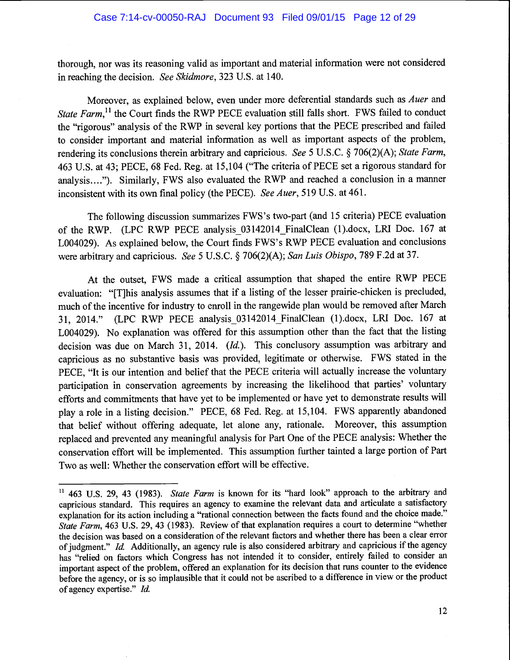thorough, nor was its reasoning valid as important and material information were not considered in reaching the decision. See Skidmore, 323 U.S. at 140.

Moreover, as explained below, even under more deferential standards such as Auer and State Farm,<sup>11</sup> the Court finds the RWP PECE evaluation still falls short. FWS failed to conduct the "rigorous" analysis of the RWP in several key portions that the PECE prescribed and failed to consider important and material information as well as important aspects of the problem, rendering its conclusions therein arbitrary and capricious. See 5 U.S.C. § 706(2)(A); State Farm, 463 U.S. at 43; PEcE, 68 Fed. Reg. at 15,104 ("The criteria of PECE set a rigorous standard for analysis...."). Similarly, FWS also evaluated the RWP and reached a conclusion in a manner inconsistent with its own final policy (the PECE). See Auer, 519 U.S. at 461.

The following discussion summarizes FWS's two-part (and 15 criteria) PECE evaluation of the RWP. (LPC RWP PECE analysis\_03142014\_FinalClean (l).docx, LRI Doc. 167 at L004029). As explained below, the Court finds FWS's RWP PECE evaluation and conclusions were arbitrary and capricious. See 5 U.S.C. § 706(2)(A); San Luis Obispo, 789 F.2d at 37.

At the outset, FWS made a critical assumption that shaped the entire RWP PECE evaluation: "{T]his analysis assumes that if a listing of the lesser prairie-chicken is precluded, much of the incentive for industry to enroll in the rangewide plan would be removed after March 31, 2014." (LPC RWP PECE analysis\_03142014\_FinalClean (1).docx, LRI Doc. 167 at L004029). No explanation was offered for this assumption other than the fact that the listing decision was due on March 31, 2014. (Id.). This conclusory assumption was arbitrary and capricious as no substantive basis was provided, legitimate or otherwise. FWS stated in the PECE, "It is our intention and belief that the PECE criteria will actually increase the voluntary participation in conservation agreements by increasing the likelihood that parties' voluntary efforts and commitments that have yet to be implemented or have yet to demonstrate results will play a role in a listing decision." PECE, 68 Fed. Reg. at 15,104. FWS apparently abandoned that belief without offering adequate, let alone any, rationale. Moreover, this assumption replaced and prevented any meaningful analysis for Part One of the PECE analysis: Whether the conservation effort will be implemented. This assumption further tainted a large portion of Part Two as well: Whether the conservation effort will be effective.

 $11$  463 U.S. 29, 43 (1983). State Farm is known for its "hard look" approach to the arbitrary and capricious standard. This requires an agency to examine the relevant data and articulate a satisfactory explanation for its action including a "rational connection between the facts found and the choice made." State Farm, 463 U.S. 29, 43 (1983). Review of that explanation requires a court to determine "whether the decision was based on a consideration of the relevant factors and whether there has been a clear error of judgment." Id. Additionally, an agency rule is also considered arbitrary and capricious if the agency has "relied on factors which Congress has not intended it to consider, entirely failed to consider an important aspect of the problem, offered an explanation for its decision that runs counter to the evidence before the agency, or is so implausible that it could not be ascribed to a difference in view or the product of agency expertise." Id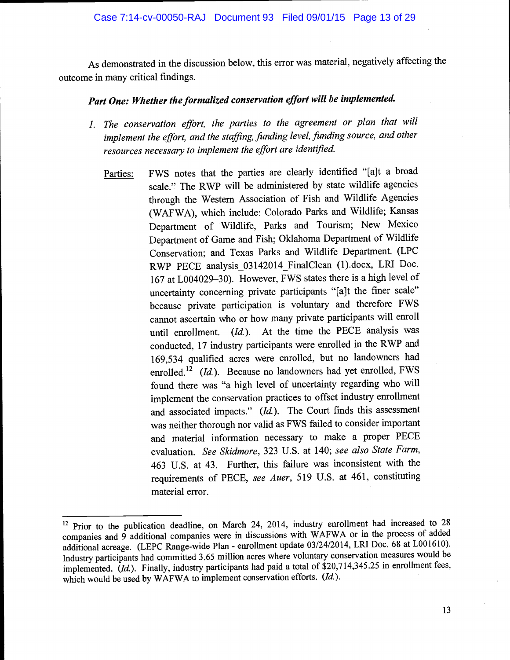## Case 7:14-cv-00050-RAJ Document 93 Filed 09/01/15 Page 13 of 29

As demonstrated in the discussion below, this error was material, negatively affecting the outcome in many critical findings.

# Part One: Whether the formalized conservation effort will be implemented.

- 1. The conservation effort, the parties to the agreement or plan that will implement the effort, and the staffing, funding level, funding source, and other resources necessary to implement the effort are identified.
	- Parties: FWS notes that the parties are clearly identified "[a]t a broad scale." The RWP will be administered by state wildlife agencies through the Western Association of Fish and Wildlife Agencies (WAFWA), which include: Colorado Parks and Wildlife; Kansas Department of Wildlife, Parks and Tourism; New Mexico Department of Game and Fish; Oklahoma Department of Wildlife Conservation; and Texas Parks and Wildlife Department. (LPC RWP PECE analysis 03142014 FinalClean (1).docx, LRI Doc. <sup>167</sup>at L004029-30). However, FWS states there is a high level of uncertainty concerning private participants "[alt the finer scale" because private participation is voluntary and therefore FWS cannot ascertain who or how many private participants will enroll until enrollment.  $(Id.)$ . At the time the PECE analysis was conducted, 17 industry participants were enrolled in the RWP and 169,534 qualified acres were enrolled, but no landowners had enrolled.<sup>12</sup> (Id.). Because no landowners had yet enrolled, FWS found there was "a high level of uncertainty regarding who will implement the conservation practices to offset industry enrollment and associated impacts."  $(Id.)$ . The Court finds this assessment was neither thorough nor valid as FWS failed to consider important and material information necessary to make a proper PECE evaluation. See Skidmore, 323 U.S. at 140; see also State Farm, 463 U.S. at 43. Further, this failure was inconsistent with the requirements of PECE, see Auer, 519 U.S. at 461, constituting material error.

<sup>&</sup>lt;sup>12</sup> Prior to the publication deadline, on March 24, 2014, industry enrollment had increased to 28 companies and 9 additional companies were in discussions with WAFWA or in the process of added additional acreage. (LEPC Range-wide Plan - enrollment update 03/24/2014, LRI Doc. 68 at L001610). Industry participants had committed 3.65 million acres where voluntary conservation measures would be implemented. (Id.). Finally, industry participants had paid a total of \$20,714,345.25 in enrollment fees, which would be used by WAFWA to implement conservation efforts. (Id.).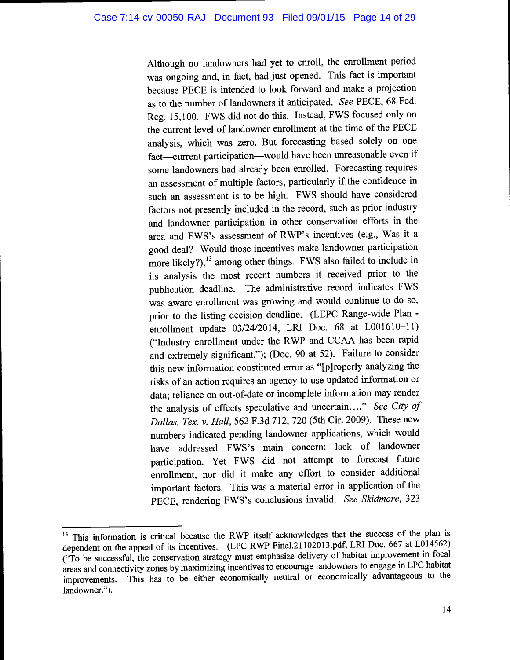Although no landowners had yet to enroll, the enrollment period was ongoing and, in fact, had just opened. This fact is important because PECE is intended to look forward and make a projection as to the number of landowners it anticipated. See PECE, 68 Fed. Reg. 15,100. FWS did not do this. Instead, FWS focused only on the current level of landowner enrollment at the time of the PECE analysis, which was zero. But forecasting based solely on one fact-current participation-would have been unreasonable even if some landowners had already been enrolled. Forecasting requires an assessment of multiple factors, particularly if the confidence in such an assessment is to be high. FWS should have considered factors not presently included in the record, such as prior industry and landowner participation in other conservation efforts in the area and FWS's assessment of RWP's incentives (e.g., Was it a good deal? Would those incentives make landowner participation more likely?),<sup>13</sup> among other things. FWS also failed to include in its analysis the most recent numbers it received prior to the publication deadline. The administrative record indicates FWS was aware enrollment was growing and would continue to do so, prior to the listing decision deadline. (LEPC Range-wide Plan enrollment update 03/24/2014, LRI Doc. 68 at L001610-11) ("Industry enrollment under the RWP and CCAA has been rapid and extremely significant."); (Doc. 90 at 52). Failure to consider this new information constituted error as "[p]roperly analyzing the risks of an action requires an agency to use updated information or data; reliance on out-of-date or incomplete information may render the analysis of effects speculative and uncertain...." See City of Dallas, Tex. v. Hall, 562 F.3d 712, 720 (5th Cir. 2009). These new numbers indicated pending landowner applications, which would have addressed FWS's main concern: lack of landowner participation. Yet FWS did not attempt to forecast future enrollment, nor did it make any effort to consider additional important factors. This was a material error in application of the PECE, rendering FWS's conclusions invalid. See Skidmore, 323

<sup>&</sup>lt;sup>13</sup> This information is critical because the RWP itself acknowledges that the success of the plan is dependent on the appeal of its incentives. (LPC RWP Final.21102013.pdf, LRI Doc. 667 at L014562) ("To be successful, the conservation strategy must emphasize delivery of habitat improvement in focal areas and connectivity zones by maximizing incentives to encourage landowners to engage in LPC habitat improvements. This has to be either economically neutral or economically advantageous to the landowner.").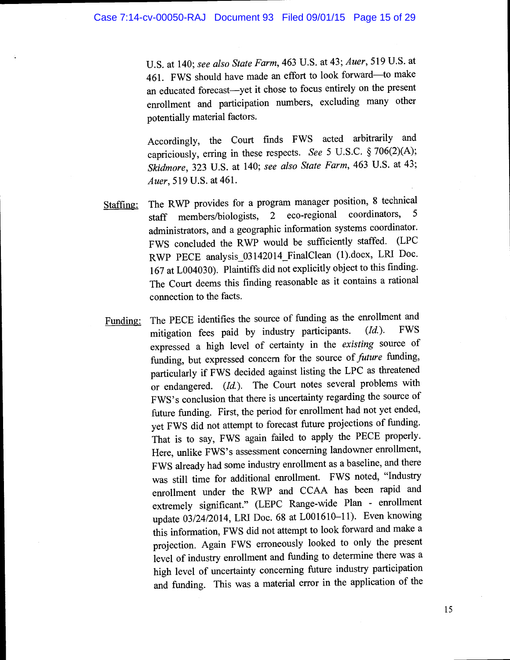U.S. at 140; see also State Farm, 463 U.S. at 43; Auer, 519 U.S. at 461. FWS should have made an effort to look forward-to make an educated forecast-yet it chose to focus entirely on the present enrollment and participation numbers, excluding many other potentially material factors.

Accordingly, the Court finds FWS acted arbitrarily and capriciously, erring in these respects. See 5 U.S.C. § 706(2)(A); Skidmore, 323 U.S. at 140; see also State Farm, 463 U.S. at 43; Auer, 519 U.S. at 461.

- Staffing: The RWP provides for a program manager position, 8 technical<br>staff members/biologists, 2 eco-regional coordinators, 5 staff members/biologists, administrators, and a geographic information systems coordinator. FWS concluded the RWP would be sufficiently staffed. (LPC RWP PECE analysis\_03142014\_FinalClean (1).docx, LRI Doc. <sup>167</sup>at L004030). Plaintiffs did not explicitly object to this finding. The Court deems this finding reasonable as it contains a rational connection to the facts.
- Funding: The PECE identifies the source of funding as the enrollment and mitigation fees paid by industry participants.  $(Id.)$ . FWS mitigation fees paid by industry participants. expressed a high level of certainty in the existing source of funding, but expressed concern for the source of *future* funding, particularly if FWS decided against listing the LPC as threatened or endangered. (Id.). The Court notes several problems with FWS's conclusion that there is uncertainty regarding the source of future funding. First, the period for enrollment had not yet ended, yet FWS did not attempt to forecast future projections of funding. That is to say, FWS again failed to apply the PECE properly. Here, unlike FWS's assessment concerning landowner enrollment, FWS already had some industry enrollment as a baseline, and there was still time for additional enrollment. FWS noted, "Industry enrollment under the RWP and CCAA has been rapid and extremely significant." (LEPC Range-wide Plan - enrollment update 03/24/2014, LRI Doc. 68 at L001610-11). Even knowing this information, FWS did not attempt to look forward and make a projection. Again FWS erroneously looked to only the present level of industry enrollment and funding to determine there was a high level of uncertainty concerning future industry participation and funding. This was a material error in the application of the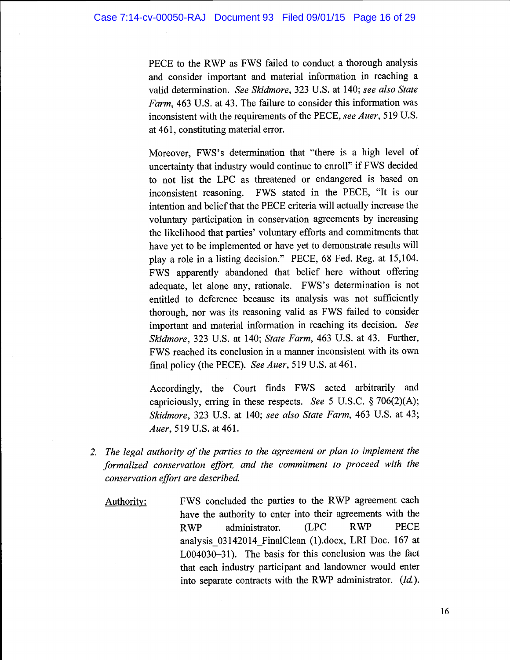PECE to the RWP as FWS failed to conduct a thorough analysis and consider important and material information in reaching a valid determination. See Skidmore, 323 U.S. at 140; see also State Farm, 463 U.S. at 43. The failure to consider this information was inconsistent with the requirements of the PECE, see Auer, 519 U.S. at 461, constituting material error.

Moreover, FWS's determination that "there is a high level of uncertainty that industry would continue to enroll" if FWS decided to not list the LPC as threatened or endangered is based on inconsistent reasoning. FWS stated in the PECE, "It is our intention and belief that the PECE criteria will actually increase the voluntary participation in conservation agreements by increasing the likelihood that parties' voluntary efforts and commitments that have yet to be implemented or have yet to demonstrate results will play a role in a listing decision." PECE, 68 Fed. Reg. at 15,104. FWS apparently abandoned that belief here without offering adequate, let alone any, rationale. FWS's determination is not entitled to deference because its analysis was not sufficiently thorough, nor was its reasoning valid as FWS failed to consider important and material information in reaching its decision. See Skidmore, 323 U.S. at 140; State Farm, 463 U.S. at 43. Further, FWS reached its conclusion in a manner inconsistent with its own final policy (the PECE). See Auer, 519 U.S. at 461.

Accordingly, the Court finds FWS acted arbitrarily and capriciously, erring in these respects. See 5 U.S.C.  $\S 706(2)(A)$ ; Skidmore, 323 U.S. at 140; see also State Farm, 463 U.S. at 43; Auer, 519 U.S. at 461.

- 2. The legal authority of the parties to the agreement or plan to implement the formalized conservation effort, and the commitment to proceed with the conservation effort are described.
	- Authority: FWS concluded the parties to the RWP agreement each have the authority to enter into their agreements with the RWP administrator. (LPC RWP PECE analysis\_03142014\_FinalClean (1).docx, LRI Doc. 167 at L004030-31). The basis for this conclusion was the fact that each industry participant and landowner would enter into separate contracts with the RWP administrator. (Id.).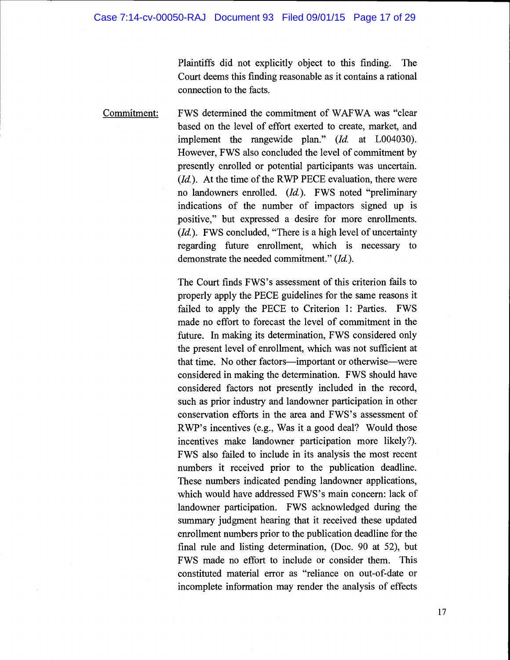Plaintiffs did not explicitly object to this finding. The Court deems this finding reasonable as it contains a rational connection to the facts.

Commitment: FWS determined the commitment of WAFWA was "clear based on the level of effort exerted to create, market, and implement the rangewide plan." (Id. at L004030). However, FWS also concluded the level of commitment by presently enrolled or potential participants was uncertain.  $(Id.)$ . At the time of the RWP PECE evaluation, there were no landowners enrolled. (Id.). FWS noted "preliminary indications of the number of impactors signed up is positive," but expressed a desire for more enrollments. (Id.). FWS concluded, "There is a high level of uncertainty regarding future enrollment, which is necessary to demonstrate the needed commitment." (Id.).

> The Court finds FWS's assessment of this criterion fails to properly apply the PECE guidelines for the same reasons it failed to apply the PECE to Criterion 1: Parties. FWS made no effort to forecast the level of commitment in the future. In making its determination, FWS considered only the present level of enrollment, which was not sufficient at that time. No other factors—important or otherwise—were considered in making the determination. FWS should have considered factors not presently included in the record, such as prior industry and landowner participation in other conservation efforts in the area and FWS's assessment of RWP's incentives (e.g., Was it a good deal? Would those incentives make landowner participation more likely?). FWS also failed to include in its analysis the most recent numbers it received prior to the publication deadline. These numbers indicated pending landowner applications, which would have addressed FWS's main concern: lack of landowner participation. FWS acknowledged during the summary judgment hearing that it received these updated enrollment numbers prior to the publication deadline for the final rule and listing determination, (Doc. 90 at 52), but FWS made no effort to include or consider them. This constituted material error as "reliance on out-of-date or incomplete information may render the analysis of effects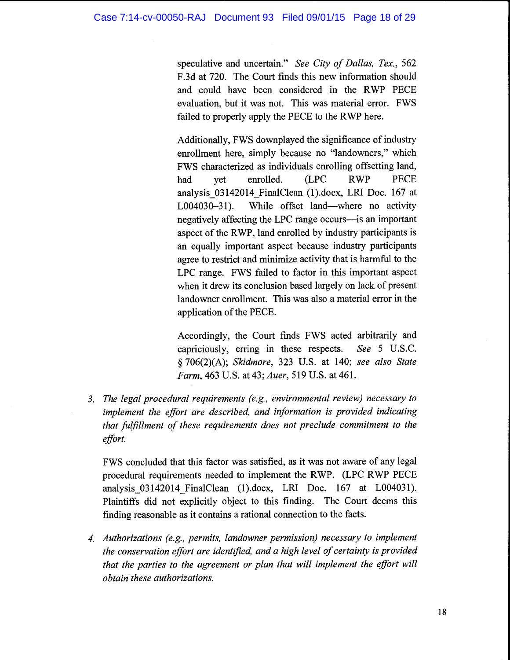speculative and uncertain." See City of Dallas, Tex., 562 F.3d at 720. The Court finds this new information should and could have been considered in the RWP PECE evaluation, but it was not. This was material error. FWS failed to properly apply the PECE to the RWP here.

Additionally, FWS downplayed the significance of industry enrollment here, simply because no "landowners," which FWS characterized as individuals enrolling offsetting land, had yet enrolled. (LPC RWP PECE analysis\_03142014\_FinalClean (1).docx, LRI Doc. 167 at  $L004030-31$ ). While offset land—where no activity negatively affecting the LPC range occurs—is an important aspect of the RWP, land enrolled by industry participants is an equally important aspect because industry participants agree to restrict and minimize activity that is harmful to the LPC range. FWS failed to factor in this important aspect when it drew its conclusion based largely on lack of present landowner enrollment. This was also a material error in the application of the PECE.

Accordingly, the Court finds FWS acted arbitrarily and capriciously, erring in these respects. See 5 U.S.C. § 706(2)(A); Skidmore, 323 U.S. at 140; see also State Farm, 463 U.S. at 43; Auer, 519 U.S. at 461.

3. The legal procedural requirements (e.g., environmental review) necessary to implement the effort are described, and information is provided indicating that fulfillment of these requirements does not preclude commitment to the effort.

FWS concluded that this factor was satisfied, as it was not aware of any legal procedural requirements needed to implement the RWP. (LPC RWP PECE analysis 03142014 FinalClean (1).docx, LRI Doc. 167 at L004031). Plaintiffs did not explicitly object to this finding. The Court deems this finding reasonable as it contains a rational connection to the facts.

4. Authorizations (e.g., permits, landowner permission) necessary to implement the conservation effort are identified, and a high level of certainty is provided that the parties to the agreement or plan that will implement the effort will obtain these authorizations.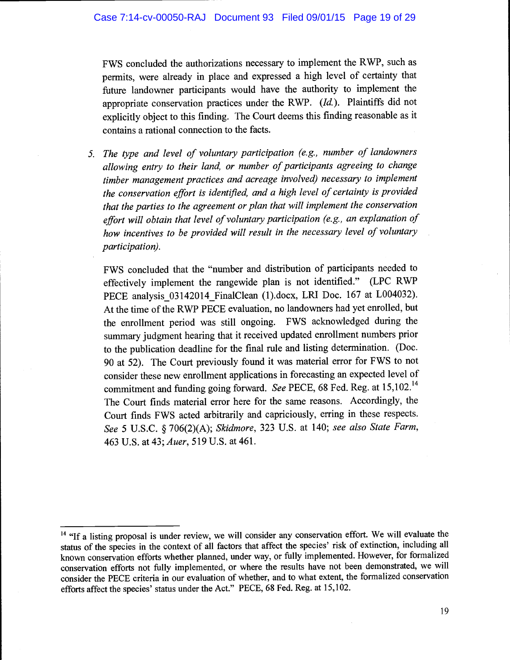FWS concluded the authorizations necessary to implement the RWP, such as permits, were already in place and expressed a high level of certainty that future landowner participants would have the authority to implement the appropriate conservation practices under the RWP. (Id.). Plaintiffs did not explicitly object to this finding. The Court deems this finding reasonable as it contains a rational connection to the facts.

5. The type and level of voluntary participation (e.g., number of landowners allowing entry to their land, or number of participants agreeing to change timber management practices and acreage involved) necessary to implement the conservation effort is identified, and a high level of certainty is provided that the parties to the agreement or plan that will implement the conservation effort will obtain that level of voluntary participation (e.g., an explanation of how incentives to be provided will result in the necessary level of voluntary participation).

FWS concluded that the "number and distribution of participants needed to effectively implement the rangewide plan is not identified." (LPC RWP PECE analysis\_03 142014\_FinalClean (1).docx, LRI Doc. 167 at L004032). At the time of the RWP PECE evaluation, no landowners had yet enrolled, but the enrollment period was still ongoing. FWS acknowledged during the summary judgment hearing that it received updated enrollment numbers prior to the publication deadline for the final rule and listing determination. (Doc. 90 at 52). The Court previously found it was material error for FWS to not consider these new enrollment applications in forecasting an expected level of commitment and funding going forward. See PECE, 68 Fed. Reg. at 15,102.<sup>14</sup> The Court finds material error here for the same reasons. Accordingly, the Court finds FWS acted arbitrarily and capriciously, erring in these respects. See 5 U.S.C. § 706(2)(A); Skidmore, 323 U.S. at 140; see also State Farm, 463 U.S. at 43; Auer, 519 U.S. at 461.

<sup>&</sup>lt;sup>14</sup> "If a listing proposal is under review, we will consider any conservation effort. We will evaluate the status of the species in the context of all factors that affect the species' risk of extinction, including all known conservation efforts whether planned, under way, or fully implemented. However, for formalized conservation efforts not fully implemented, or where the results have not been demonstrated, we will consider the PECE criteria in our evaluation of whether, and to what extent, the formalized conservation efforts affect the species' status under the Act." PECE, 68 Fed. Reg. at 15,102.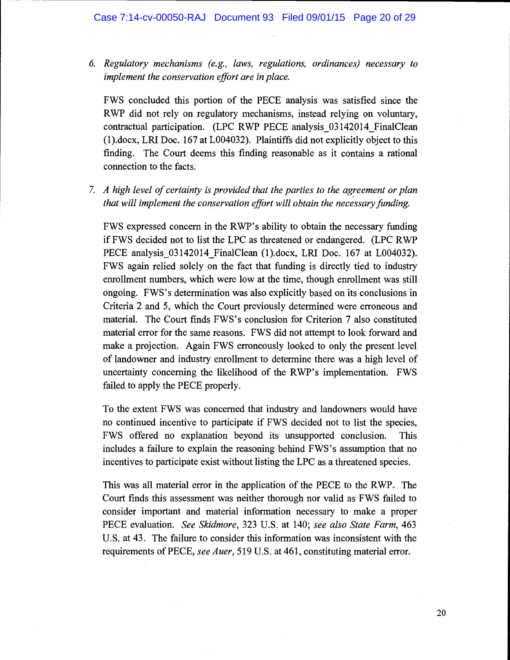6. Regulatory mechanisms (e.g., laws, regulations, ordinances) necessary to implement the conservation effort are in place.

FWS concluded this portion of the PECE analysis was satisfied since the RWP did not rely on regulatory mechanisms, instead relying on voluntary, contractual participation. (LPC RWP PECE analysis 03142014 FinalClean (1).docx, LRI Doc. 167 at L004032). Plaintiffs did not explicitly object to this finding. The Court deems this finding reasonable as it contains a rational connection to the facts.

7. A high level of certainty is provided that the parties to the agreement or plan that will implement the conservation effort will obtain the necessary funding.

FWS expressed concern in the RWP's ability to obtain the necessary funding if FWS decided not to list the LPC as threatened or endangered. (LPC RWP PECE analysis 03142014 FinalClean (1).docx, LRI Doc. 167 at L004032). FWS again relied solely on the fact that funding is directly tied to industry enrollment numbers, which were low at the time, though enrollment was still ongoing. FWS's determination was also explicitly based on its conclusions in Criteria 2 and 5, which the Court previously determined were erroneous and material. The Court finds FWS's conclusion for Criterion 7 also constituted material error for the same reasons. FWS did not attempt to look forward and make a projection. Again FWS erroneously looked to only the present level of landowner and industry enrollment to determine there was a high level of uncertainty concerning the likelihood of the RWP's implementation. FWS failed to apply the PECE properly.

To the extent FWS was concerned that industry and landowners would have no continued incentive to participate if FWS decided not to list the species, FWS offered no explanation beyond its unsupported conclusion. This includes a failure to explain the reasoning behind FWS's assumption that no incentives to participate exist without listing the LPC as a threatened species.

This was all material error in the application of the PECE to the RWP. The Court finds this assessment was neither thorough nor valid as FWS failed to consider important and material information necessary to make a proper PECE evaluation. See Skidmore, 323 U.S. at 140; see also State Farm, 463 U.S. at 43. The failure to consider this information was inconsistent with the requirements of PECE, see Auer, 519 U.S. at 461, constituting material error.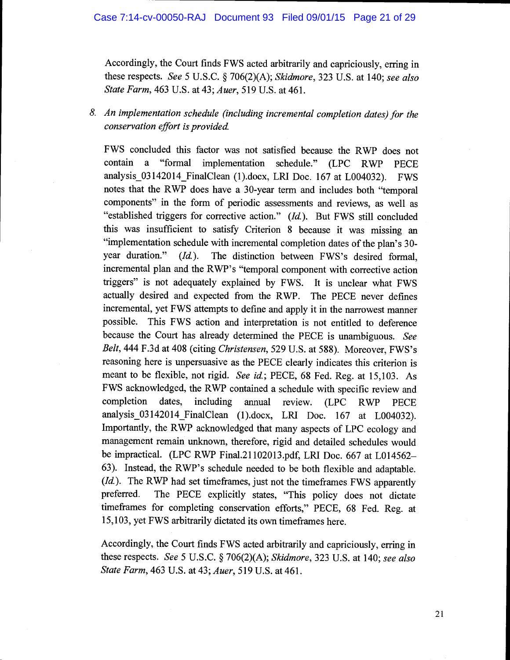Accordingly, the Court finds FWS acted arbitrarily and capriciously, erring in these respects. See 5 U.S.C.  $\S$  706(2)(A); Skidmore, 323 U.S. at 140; see also State Farm, 463 U.S. at 43; Auer, 519 U.S. at 461.

# 8. An implementation schedule (including incremental completion dates) for the conservation effort is provided.

FWS concluded this factor was not satisfied because the RWP does not contain a "formal implementation schedule." (LPC RWP PECE analysis\_03142014\_FinalClean (1).docx, LRI Doc. 167 at L004032). FWS notes that the RWP does have a 30-year term and includes both "temporal components" in the form of periodic assessments and reviews, as well as "established triggers for corrective action."  $(Id$ ). But FWS still concluded this was insufficient to satisfy Criterion 8 because it was missing an "implementation schedule with incremental completion dates of the plan's 30 year duration." (Id.). The distinction between FWS's desired formal, incremental plan and the RWP's "temporal component with corrective action triggers" is not adequately explained by FWS. It is unclear what FWS actually desired and expected from the RWP. The PECE never defines incremental, yet FWS attempts to define and apply it in the narrowest manner possible. This FWS action and interpretation is not entitled to deference because the Court has already determined the PECE is unambiguous. See Belt, 444 F.3d at 408 (citing Christensen, 529 U.S. at 588). Moreover, FWS's reasoning here is unpersuasive as the PECE clearly indicates this criterion is meant to be flexible, not rigid. See id.; PECE, 68 Fed. Reg. at 15,103. As FWS acknowledged, the RWP contained a schedule with specific review and completion dates, including annual review. (LPC RWP PECE analysis 03142014 FinalClean (1).docx, LRI Doc. 167 at L004032). Importantly, the RWP acknowledged that many aspects of LPC ecology and management remain unknown, therefore, rigid and detailed schedules would be impractical. (LPC RWP Final.21102013.pdf, LRI Doc. 667 at L014562-63). Instead, the RWP's schedule needed to be both flexible and adaptable. (Id.). The RWP had set timeframes, just not the timeframes FWS apparently preferred. The PECE explicitly states, "This policy does not dictate timeframes for completing conservation efforts," PECE, 68 Fed. Reg. at 15,103, yet FWS arbitrarily dictated its own timeframes here.

Accordingly, the Court finds FWS acted arbitrarily and capriciously, erring in these respects. See 5 U.S.C. § 706(2)(A); Skidmore, 323 U.S. at 140; see also State Farm, 463 U.S. at 43; Auer, 519 U.S. at 461.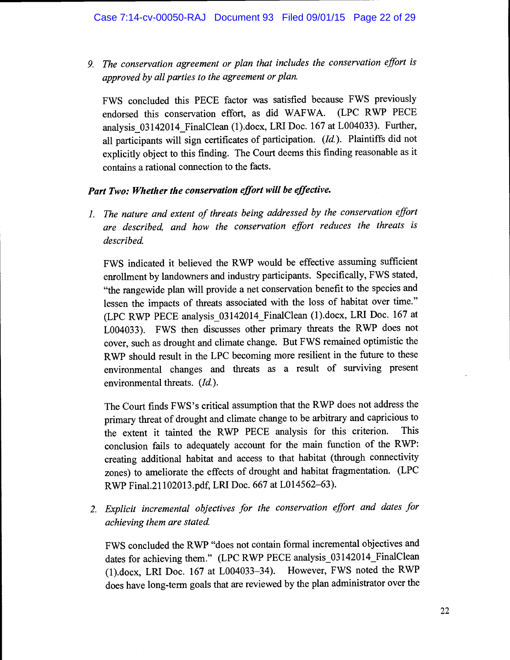9. The conservation agreement or plan that includes the conservation effort is approved by all parties to the agreement or plan.

FWS concluded this PECE factor was satisfied because FWS previously endorsed this conservation effort, as did WAFWA. (LPC RWP PECE analysis\_03142014\_FinalClean (1).docx, LRI Doe. 167 at L004033). Further, all participants will sign certificates of participation. (Id.). Plaintiffs did not explicitly object to this finding. The Court deems this finding reasonable as it contains a rational connection to the facts.

## Part Two: Whether the conservation effort will be effective.

1. The nature and extent of threats being addressed by the conservation effort are described, and how the conservation effort reduces the threats is described.

FWS indicated it believed the RWP would be effective assuming sufficient enrollment by landowners and industry participants. Specifically, FWS stated, "the rangewide plan will provide a net conservation benefit to the species and lessen the impacts of threats associated with the loss of habitat over time." (LPC RWP PECE analysis\_03142014\_FinalClean (1).docx, LRI Doe. 167 at L004033). FWS then discusses other primary threats the RWP does not cover, such as drought and climate change. But FWS remained optimistic the RWP should result in the LPC becoming more resilient in the future to these environmental changes and threats as a result of surviving present environmental threats. (Id.).

The Court finds FWS's critical assumption that the RWP does not address the primary threat of drought and climate change to be arbitrary and capricious to the extent it tainted the RWP PECE analysis for this criterion. This conclusion fails to adequately account for the main function of the RWP: creating additional habitat and access to that habitat (through connectivity zones) to ameliorate the effects of drought and habitat fragmentation. (LPC RWP Final.21 102013.pdf, LRI Doe. 667 at L014562-63).

2. Explicit incremental objectives for the conservation effort and dates for achieving them are stated.

FWS concluded the RWP "does not contain formal incremental objectives and dates for achieving them." (LPC RWP PECE analysis 03142014 FinalClean (1).docx, LRI Doe. 167 at L004033-34). However, FWS noted the RWP does have long-term goals that are reviewed by the plan administrator over the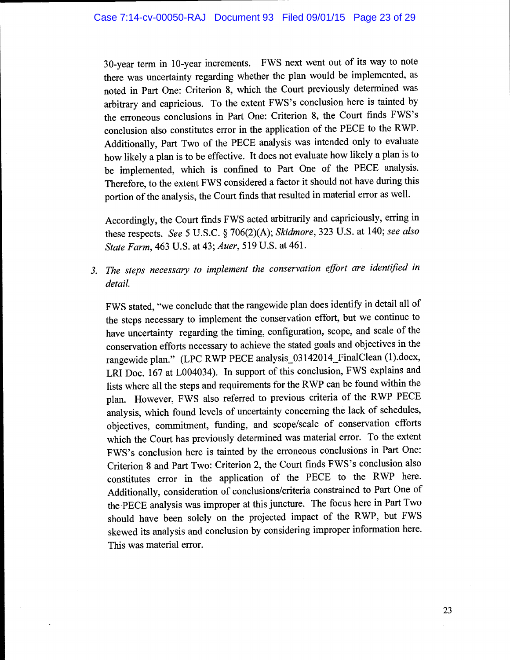30-year term in 10-year increments. FWS next went out of its way to note there was uncertainty regarding whether the plan would be implemented, as noted in Part One: Criterion 8, which the Court previously determined was arbitrary and capricious. To the extent FWS's conclusion here is tainted by the erroneous conclusions in Part One: Criterion 8, the Court finds FWS's conclusion also constitutes error in the application of the PECE to the RWP. Additionally, Part Two of the PECE analysis was intended only to evaluate how likely a plan is to be effective. It does not evaluate how likely a plan is to be implemented, which is confined to Part One of the PECE analysis. Therefore, to the extent FWS considered a factor it should not have during this portion of the analysis, the Court finds that resulted in material error as well.

Accordingly, the Court finds FWS acted arbitrarily and capriciously, erring in these respects. See 5 U.S.C. § 706(2)(A); Skidmore, 323 U.S. at 140; see also State Farm, 463 U.S. at 43; Auer, 519 U.S. at 461.

3. The steps necessary to implement the conservation effort are identified in detail.

FWS stated, "we conclude that the rangewide plan does identify in detail all of the steps necessary to implement the conservation effort, but we continue to have uncertainty regarding the timing, configuration, scope, and scale of the conservation efforts necessary to achieve the stated goals and objectives in the rangewide plan." (LPC RWP PECE analysis\_03 142014\_FinaiClean (1).docx, LRI Doc. 167 at L004034). In support of this conclusion, FWS explains and lists where all the steps and requirements for the RWP can be found within the plan. However, FWS also referred to previous criteria of the RWP PECE analysis, which found levels of uncertainty concerning the lack of schedules, objectives, commitment, funding, and scope/scale of conservation efforts which the Court has previously determined was material error. To the extent FWS's conclusion here is tainted by the erroneous conclusions in Part One: Criterion 8 and Part Two: Criterion 2, the Court finds FWS's conclusion also constitutes error in the application of the PECE to the RWP here. Additionally, consideration of conclusions/criteria constrained to Part One of the PECE analysis was improper at this juncture. The focus here in Part Two should have been solely on the projected impact of the RWP, but FWS skewed its analysis and conclusion by considering improper information here. This was material error.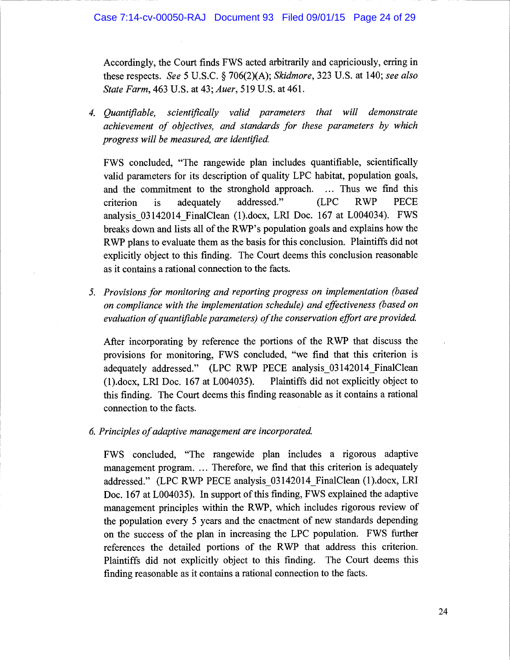Accordingly, the Court finds FWS acted arbitrarily and capriciously, erring in these respects. See 5 U.S.C. § 706(2)(A); Skidmore, 323 U.S. at 140; see also State Farm, 463 U.S. at 43; Auer, 519 U.S. at 461.

4. Quantifiable, scientifically valid parameters that will demonstrate achievement of objectives, and standards for these parameters by which progress will be measured, are identified.

FWS concluded, "The rangewide plan includes quantifiable, scientifically valid parameters for its description of quality LPC habitat, population goals, and the commitment to the stronghold approach. ... Thus we find this criterion is adequately addressed." (LPC RWP PECE analysis\_03142014\_FinalClean (1).docx, LRI Doc. 167 at L004034). FWS breaks down and lists all of the RWP's population goals and explains how the RWP plans to evaluate them as the basis for this conclusion. Plaintiffs did not explicitly object to this finding. The Court deems this conclusion reasonable as it contains a rational connection to the facts.

5. Provisions for monitoring and reporting progress on implementation (based on compliance with the implementation schedule) and effectiveness (based on evaluation of quantifiable parameters) of the conservation effort are provided.

After incorporating by reference the portions of the RWP that discuss the provisions for monitoring, FWS concluded, "we find that this criterion is adequately addressed." (LPC RWP PECE analysis 03142014 FinalClean (1).docx, LRI Doc. 167 at L004035). Plaintiffs did not explicitly object to this finding. The Court deems this finding reasonable as it contains a rational connection to the facts.

6. Principles of adaptive management are incorporated.

FWS concluded, "The rangewide plan includes a rigorous adaptive management program. ... Therefore, we find that this criterion is adequately addressed." (LPC RWP PECE analysis\_03 1420 l4\_FinalClean (1).docx, LRI Doc. 167 at L004035). In support of this finding, FWS explained the adaptive management principles within the RWP, which includes rigorous review of the population every 5 years and the enactment of new standards depending on the success of the plan in increasing the LPC population. FWS further references the detailed portions of the RWP that address this criterion. Plaintiffs did not explicitly object to this finding. The Court deems this finding reasonable as it contains a rational connection to the facts.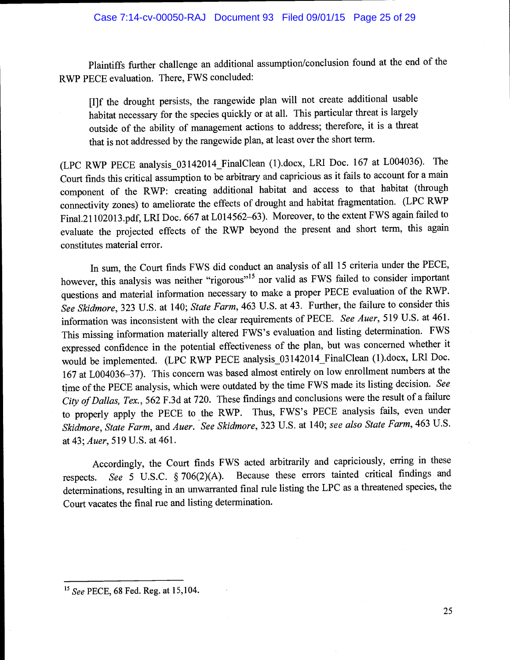Plaintiffs further challenge an additional assumption/conclusion found at the end of the RWP PECE evaluation. There, FWS concluded:

[I]f the drought persists, the rangewide plan will not create additional usable habitat necessary for the species quickly or at all. This particular threat is largely outside of the ability of management actions to address; therefore, it is a threat that is not addressed by the rangewide plan, at least over the short term.

(LPC RWP PECE analysis\_03142014\_FinalClean (1).docx, LRI Doe. 167 at L004036). The Court finds this critical assumption to be arbitrary and capricious as it fails to account for a main component of the RWP: creating additional habitat and access to that habitat (through connectivity zones) to ameliorate the effects of drought and habitat fragmentation. (LPC RWP Final.21 1020l3.pdf, LRI Doe. 667 at L014562-63). Moreover, to the extent FWS again failed to evaluate the projected effects of the RWP beyond the present and short term, this again constitutes material error.

In sum, the Court finds FWS did conduct an analysis of all 15 criteria under the PECE, however, this analysis was neither "rigorous"<sup>15</sup> nor valid as FWS failed to consider important questions and material information necessary to make a proper PECE evaluation of the RWP. See Skidmore, 323 U.S. at 140; State Farm, 463 U.S. at 43. Further, the failure to consider this information was inconsistent with the clear requirements of PECE. See Auer, 519 U.S. at 461. This missing information materially altered FWS's evaluation and listing determination. FWS expressed confidence in the potential effectiveness of the plan, but was concerned whether it would be implemented. (LPC RWP PECE analysis\_03 1420 14\_FinaiClean (1).docx, LRI Doe. <sup>167</sup>at L004036-37). This concern was based almost entirely on low enrollment numbers at the time of the PECE analysis, which were outdated by the time FWS made its listing decision. See City of Dallas, Tex., 562 F.3d at 720. These findings and conclusions were the result of a failure to properly apply the PECE to the RWP. Thus, FWS's PECE analysis fails, even under Skidmore, State Farm, and Auer. See Skidmore, 323 U.S. at 140; see also State Farm, 463 U.S. at 43; Auer, 519 U.S. at 461.

Accordingly, the Court finds FWS acted arbitrarily and capriciously, erring in these respects. See 5 U.S.C. § 706(2)(A). Because these errors tainted critical findings and detenninations, resulting in an unwarranted final rule listing the LPC as a threatened species, the Court vacates the final rue and listing determination.

<sup>&</sup>lt;sup>15</sup> See PECE, 68 Fed. Reg. at 15,104.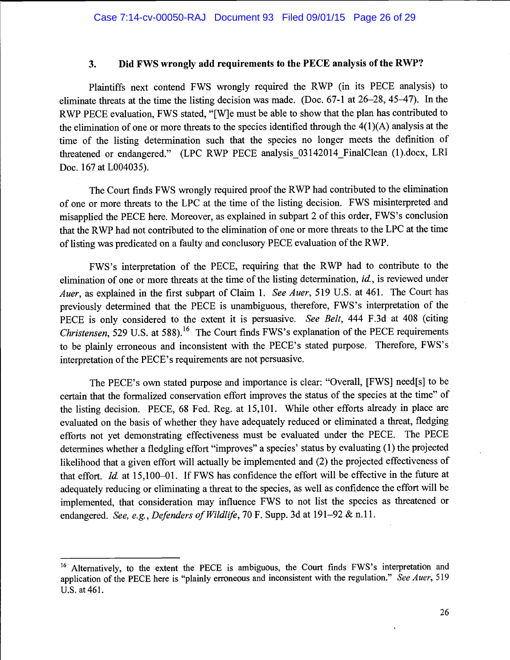## 3. Did FWS wrongly add requirements to the PECE analysis of the RWP?

Plaintiffs next contend FWS wrongly required the RWP (in its PECE analysis) to eliminate threats at the time the listing decision was made. (Doc. 67-1 at 26-28, 45-47). In the RWP PECE evaluation, FWS stated, "{W]e must be able to show that the plan has contributed to the elimination of one or more threats to the species identified through the 4(1 )(A) analysis at the time of the listing determination such that the species no longer meets the definition of threatened or endangered." (LPC RWP PECE analysis 03142014 FinalClean (1).docx, LRI Doc. 167 at L004035).

The Court finds FWS wrongly required proof the RWP had contributed to the elimination of one or more threats to the LPC at the time of the listing decision. FWS misinterpreted and misapplied the PECE here. Moreover, as explained in subpart 2 of this order, FWS's conclusion that the RWP had not contributed to the elimination of one or more threats to the LPC at the time of listing was predicated on a faulty and conclusory PECE evaluation of the RWP.

FWS's interpretation of the PECE, requiring that the RWP had to contribute to the elimination of one or more threats at the time of the listing determination, *id.*, is reviewed under *Auer*, as explained in the first subpart of Claim 1. See *Auer*, 519 U.S. at 461. The Court has previously determined that the PECE is unambiguous, therefore, FWS's interpretation of the PECE is only considered to the extent it is persuasive. See Belt, 444 F.3d at 408 (citing *Christensen,* 529 U.S. at 588).<sup>16</sup> The Court finds FWS's explanation of the PECE requirements to be plainly erroneous and inconsistent with the PECE's stated purpose. Therefore, FWS's interpretation of the PECE's requirements are not persuasive.

The PECE's own stated purpose and importance is clear: "Overall, [FWS] need[s] to be certain that the formalized conservation effort improves the status of the species at the time" of the listing decision. PECE, 68 Fed. Reg. at 15,101. While other efforts already in place are evaluated on the basis of whether they have adequately reduced or eliminated a threat, fledging efforts not yet demonstrating effectiveness must be evaluated under the PECE. The PECE determines whether a fledgling effort "improves" a species' status by evaluating (1) the projected likelihood that a given effort will actually be implemented and (2) the projected effectiveness of that effort. Id. at 15,100-01. If FWS has confidence the effort will be effective in the future at adequately reducing or eliminating a threat to the species, as well as confidence the effort will be implemented, that consideration may influence FWS to not list the species as threatened or endangered. See, e.g., Defenders of Wildlife, 70 F. Supp. 3d at 191–92 & n.11.

<sup>&</sup>lt;sup>16</sup> Alternatively, to the extent the PECE is ambiguous, the Court finds FWS's interpretation and application of the PECE here is "plainly erroneous and inconsistent with the regulation." See Auer, 519 U.S. at 461.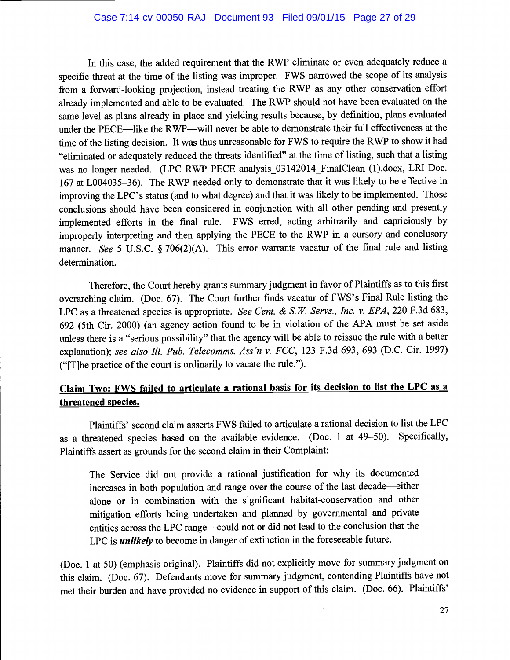In this case, the added requirement that the RWP eliminate or even adequately reduce a specific threat at the time of the listing was improper. FWS narrowed the scope of its analysis from a forward-looking projection, instead treating the RWP as any other conservation effort already implemented and able to be evaluated. The RWP should not have been evaluated on the same level as plans already in place and yielding results because, by definition, plans evaluated under the PECE-like the RWP-will never be able to demonstrate their full effectiveness at the time of the listing decision. It was thus unreasonable for FWS to require the RWP to show it had "eliminated or adequately reduced the threats identified" at the time of listing, such that a listing was no longer needed. (LPC RWP PECE analysis 03142014 FinalClean (1).docx, LRI Doc. 167 at L004035-36). The RWP needed only to demonstrate that it was likely to be effective in improving the LPC's status (and to what degree) and that it was likely to be implemented. Those conclusions should have been considered in conjunction with all other pending and presently implemented efforts in the final rule. FWS erred, acting arbitrarily and capriciously by improperly interpreting and then applying the PECE to the RWP in a cursory and conclusory manner. See 5 U.S.C. § 706(2)(A). This error warrants vacatur of the final rule and listing determination.

Therefore, the court hereby grants summary judgment in favor of Plaintiffs as to this first overarching claim. (Doc. 67). The Court further finds vacatur of FWS's Final Rule listing the LPC as a threatened species is appropriate. See Cent. & S.W. Servs., Inc. v. EPA, 220 F.3d 683, 692 (5th cir. 2000) (an agency action found to be in violation of the APA must be set aside unless there is a "serious possibility" that the agency will be able to reissue the rule with a better explanation); see also Ill. Pub. Telecomms. Ass'n v. FCC, 123 F.3d 693, 693 (D.C. Cir. 1997) ("[T]he practice of the court is ordinarily to vacate the rule.").

# Claim Two: FWS failed to articulate a rational basis for its decision to list the LPC as a threatened species.

Plaintiffs' second claim asserts FWS failed to articulate a rational decision to list the LPC as a threatened species based on the available evidence. (Doc. 1 at 49-50). Specifically, Plaintiffs assert as grounds for the second claim in their Complaint:

The Service did not provide a rational justification for why its documented increases in both population and range over the course of the last decade—either alone or in combination with the significant habitat-conservation and other mitigation efforts being undertaken and planned by governmental and private entities across the LPC range-could not or did not lead to the conclusion that the LPC is *unlikely* to become in danger of extinction in the foreseeable future.

(Doe. 1 at 50) (emphasis original). Plaintiffs did not explicitly move for summary judgment on this claim. (Doe. 67). Defendants move for summary judgment, contending Plaintiffs have not met their burden and have provided no evidence in support of this claim. (Doe. 66). Plaintiffs'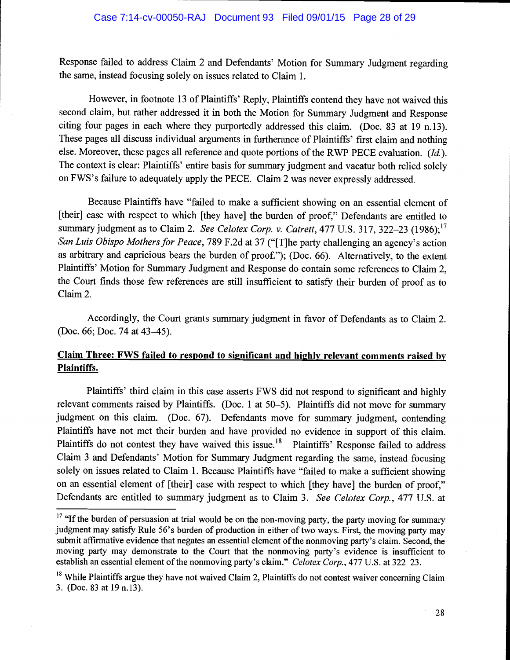Response failed to address Claim 2 and Defendants' Motion for Summary Judgment regarding the same, instead focusing solely on issues related to Claim 1.

However, in footnote 13 of Plaintiffs' Reply, Plaintiffs contend they have not waived this second claim, but rather addressed it in both the Motion for Summary Judgment and Response citing four pages in each where they purportedly addressed this claim. (Doc. 83 at 19 n.13). These pages all discuss individual arguments in furtherance of Plaintiffs' first claim and nothing else. Moreover, these pages all reference and quote portions of the RWP PECE evaluation. (Id.). The context is clear: Plaintiffs' entire basis for summary judgment and vacatur both relied solely on FWS's failure to adequately apply the PECE. Claim 2 was never expressly addressed.

Because Plaintiffs have "failed to make a sufficient showing on an essential element of [their] case with respect to which [they have] the burden of proof," Defendants are entitled to summary judgment as to Claim 2. See Celotex Corp. v. Catrett, 477 U.S. 317, 322-23 (1986);  $^{17}$ San Luis Obispo Mothers for Peace, 789 F.2d at 37 ("[T]he party challenging an agency's action as arbitrary and capricious bears the burden of proof."); (Doc. 66). Alternatively, to the extent Plaintiffs' Motion for Summary Judgment and Response do contain some references to Claim 2, the Court finds those few references are still insufficient to satisfy their burden of proof as to Claim 2.

Accordingly, the Court grants summary judgment in favor of Defendants as to Claim 2. (Doe. 66; Doe. 74 at 43-45).

## Claim Three: FWS failed to respond to significant and highly relevant comments raised by Plaintiffs.

Plaintiffs' third claim in this case asserts FWS did not respond to significant and highly relevant comments raised by Plaintiffs. (Doe. 1 at 50-5). Plaintiffs did not move for summary judgment on this claim. (Doe. 67). Defendants move for summary judgment, contending Plaintiffs have not met their burden and have provided no evidence in support of this claim. Plaintiffs do not contest they have waived this issue.<sup>18</sup> Plaintiffs' Response failed to address Claim 3 and Defendants' Motion for Summary Judgment regarding the same, instead focusing solely on issues related to Claim 1. Because Plaintiffs have "failed to make a sufficient showing on an essential element of [their] case with respect to which [they have] the burden of proof," Defendants are entitled to summary judgment as to Claim 3. See Celotex Corp., 477 U.S. at

 $17$  "If the burden of persuasion at trial would be on the non-moving party, the party moving for summary judgment may satisfy Rule 56's burden of production in either of two ways. First, the moving party may submit affirmative evidence that negates an essential element of the nonmoving party's claim. Second, the moving party may demonstrate to the Court that the nonmoving party's evidence is insufficient to establish an essential element of the nonmoving party's claim." Celotex Corp., 477 U.S. at 322–23.

<sup>&</sup>lt;sup>18</sup> While Plaintiffs argue they have not waived Claim 2, Plaintiffs do not contest waiver concerning Claim 3. (Doe. 83 at 19 n.13).